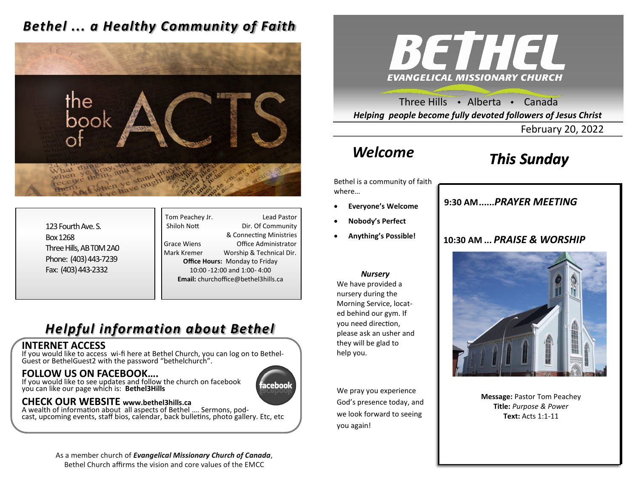### *Bethel ... a Healthy Community of Faith*



123 Fourth Ave. S. Box 1268 Three Hills, AB T0M 2A0 Phone: (403) 443-7239 Fax: (403) 443-2332

Tom Peachey Jr. **Lead Pastor** Shiloh Nott Dir. Of Community & Connecting Ministries Grace Wiens Office Administrator Mark Kremer Worship & Technical Dir. **Office Hours:** Monday to Friday 10:00 -12:00 and 1:00- 4:00 **Email:** churchoffice@bethel3hills.ca

### *Helpful information about Bethel*

#### **INTERNET ACCESS**

If you would like to access wi-fi here at Bethel Church, you can log on to Bethel-Guest or BethelGuest2 with the password "bethelchurch".

### **FOLLOW US ON FACEBOOK….**

If you would like to see updates and follow the church on facebook you can like our page which is: **Bethel3Hills**

# aceboo

### **CHECK OUR WEBSITE www.bethel3hills.ca**

A wealth of information about all aspects of Bethel …. Sermons, podcast, upcoming events, staff bios, calendar, back bulletins, photo gallery. Etc, etc

> As a member church of *Evangelical Missionary Church of Canada*, Bethel Church affirms the vision and core values of the EMCC



Three Hills  $\rightarrow$  Alberta  $\rightarrow$  Canada *Helping people become fully devoted followers of Jesus Christ*

February 20, 2022

# *Welcome*

## *This Sunday*

Bethel is a community of faith where…

- **Everyone's Welcome**
- **Nobody's Perfect**
- **Anything's Possible!**

#### *Nursery*

We have provided a nursery during the Morning Service, located behind our gym. If you need direction, please ask an usher and they will be glad to help you.

We pray you experience God's presence today, and we look forward to seeing you again!

### **9:30 AM......***SUNDAY SCHOOL* **9:30 AM......***PRAYER MEETING*

### **10:30 AM ...** *PRAISE & WORSHIP*



**Message:** Pastor Tom Peachey **Title:** *Purpose & Power* **Text:** Acts 1:1-11